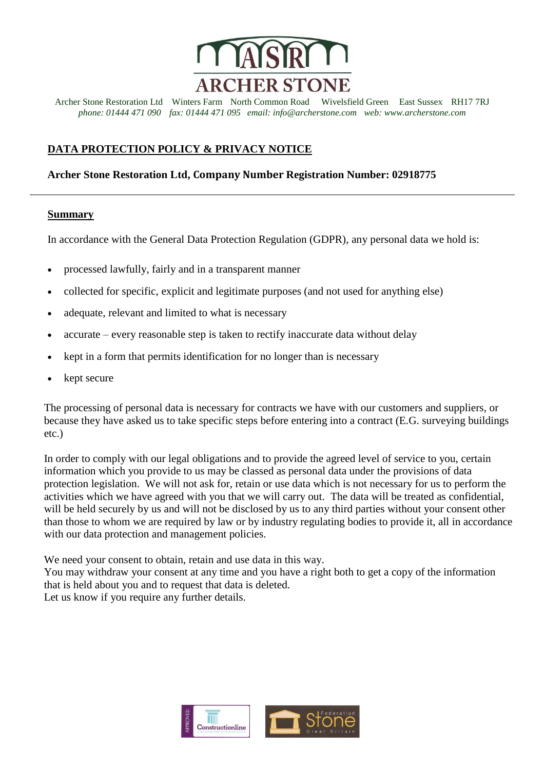

Archer Stone Restoration Ltd Winters Farm North Common Road Wivelsfield Green East Sussex RH17 7RJ *phone: 01444 471 090 fax: 01444 471 095 email: info@archerstone.com web: www.archerstone.com*

# **DATA PROTECTION POLICY & PRIVACY NOTICE**

#### **Archer Stone Restoration Ltd, Company Number Registration Number: 02918775**

#### **Summary**

In accordance with the General Data Protection Regulation (GDPR), any personal data we hold is:

- processed lawfully, fairly and in a transparent manner
- collected for specific, explicit and legitimate purposes (and not used for anything else)
- adequate, relevant and limited to what is necessary
- accurate every reasonable step is taken to rectify inaccurate data without delay
- kept in a form that permits identification for no longer than is necessary
- kept secure

The processing of personal data is necessary for contracts we have with our customers and suppliers, or because they have asked us to take specific steps before entering into a contract (E.G. surveying buildings etc.)

In order to comply with our legal obligations and to provide the agreed level of service to you, certain information which you provide to us may be classed as personal data under the provisions of data protection legislation. We will not ask for, retain or use data which is not necessary for us to perform the activities which we have agreed with you that we will carry out. The data will be treated as confidential, will be held securely by us and will not be disclosed by us to any third parties without your consent other than those to whom we are required by law or by industry regulating bodies to provide it, all in accordance with our data protection and management policies.

We need your consent to obtain, retain and use data in this way.

You may withdraw your consent at any time and you have a right both to get a copy of the information that is held about you and to request that data is deleted.

Let us know if you require any further details.

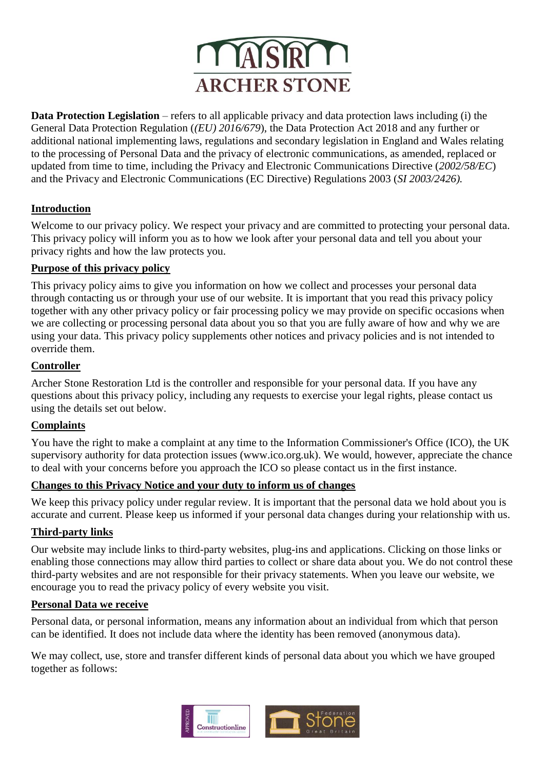

**Data Protection Legislation** – refers to all applicable privacy and data protection laws including (i) the General Data Protection Regulation (*(EU) 2016/679*), the Data Protection Act 2018 and any further or additional national implementing laws, regulations and secondary legislation in England and Wales relating to the processing of Personal Data and the privacy of electronic communications, as amended, replaced or updated from time to time, including the Privacy and Electronic Communications Directive (*2002/58/EC*) and the Privacy and Electronic Communications (EC Directive) Regulations 2003 (*SI 2003/2426).*

## **Introduction**

Welcome to our privacy policy. We respect your privacy and are committed to protecting your personal data. This privacy policy will inform you as to how we look after your personal data and tell you about your privacy rights and how the law protects you.

### **Purpose of this privacy policy**

This privacy policy aims to give you information on how we collect and processes your personal data through contacting us or through your use of our website. It is important that you read this privacy policy together with any other privacy policy or fair processing policy we may provide on specific occasions when we are collecting or processing personal data about you so that you are fully aware of how and why we are using your data. This privacy policy supplements other notices and privacy policies and is not intended to override them.

### **Controller**

Archer Stone Restoration Ltd is the controller and responsible for your personal data. If you have any questions about this privacy policy, including any requests to exercise your legal rights, please contact us using the details set out below.

### **Complaints**

You have the right to make a complaint at any time to the Information Commissioner's Office (ICO), the UK supervisory authority for data protection issues (www.ico.org.uk). We would, however, appreciate the chance to deal with your concerns before you approach the ICO so please contact us in the first instance.

### **Changes to this Privacy Notice and your duty to inform us of changes**

We keep this privacy policy under regular review. It is important that the personal data we hold about you is accurate and current. Please keep us informed if your personal data changes during your relationship with us.

# **Third-party links**

Our website may include links to third-party websites, plug-ins and applications. Clicking on those links or enabling those connections may allow third parties to collect or share data about you. We do not control these third-party websites and are not responsible for their privacy statements. When you leave our website, we encourage you to read the privacy policy of every website you visit.

### **Personal Data we receive**

Personal data, or personal information, means any information about an individual from which that person can be identified. It does not include data where the identity has been removed (anonymous data).

We may collect, use, store and transfer different kinds of personal data about you which we have grouped together as follows:

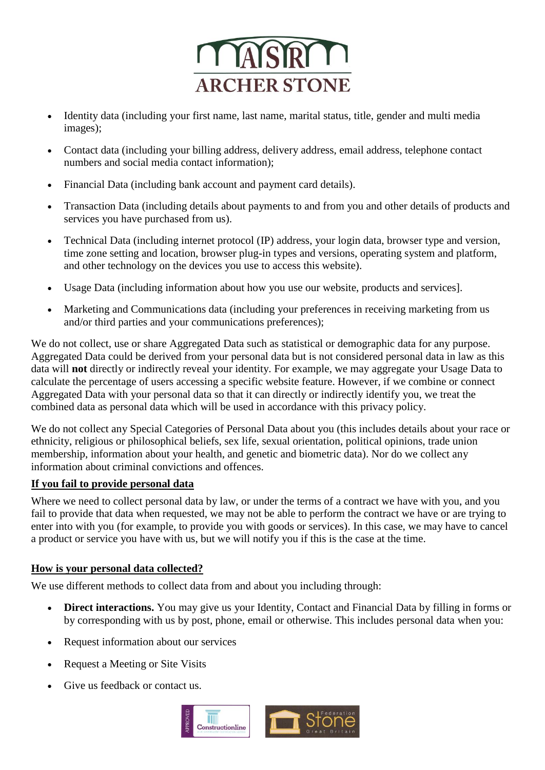

- Identity data (including your first name, last name, marital status, title, gender and multi media images);
- Contact data (including your billing address, delivery address, email address, telephone contact numbers and social media contact information);
- Financial Data (including bank account and payment card details).
- Transaction Data (including details about payments to and from you and other details of products and services you have purchased from us).
- Technical Data (including internet protocol (IP) address, your login data, browser type and version, time zone setting and location, browser plug-in types and versions, operating system and platform, and other technology on the devices you use to access this website).
- Usage Data (including information about how you use our website, products and services].
- Marketing and Communications data (including your preferences in receiving marketing from us and/or third parties and your communications preferences);

We do not collect, use or share Aggregated Data such as statistical or demographic data for any purpose. Aggregated Data could be derived from your personal data but is not considered personal data in law as this data will **not** directly or indirectly reveal your identity. For example, we may aggregate your Usage Data to calculate the percentage of users accessing a specific website feature. However, if we combine or connect Aggregated Data with your personal data so that it can directly or indirectly identify you, we treat the combined data as personal data which will be used in accordance with this privacy policy.

We do not collect any Special Categories of Personal Data about you (this includes details about your race or ethnicity, religious or philosophical beliefs, sex life, sexual orientation, political opinions, trade union membership, information about your health, and genetic and biometric data). Nor do we collect any information about criminal convictions and offences.

### **If you fail to provide personal data**

Where we need to collect personal data by law, or under the terms of a contract we have with you, and you fail to provide that data when requested, we may not be able to perform the contract we have or are trying to enter into with you (for example, to provide you with goods or services). In this case, we may have to cancel a product or service you have with us, but we will notify you if this is the case at the time.

### **How is your personal data collected?**

We use different methods to collect data from and about you including through:

- **Direct interactions.** You may give us your Identity, Contact and Financial Data by filling in forms or by corresponding with us by post, phone, email or otherwise. This includes personal data when you:
- Request information about our services
- Request a Meeting or Site Visits
- Give us feedback or contact us.

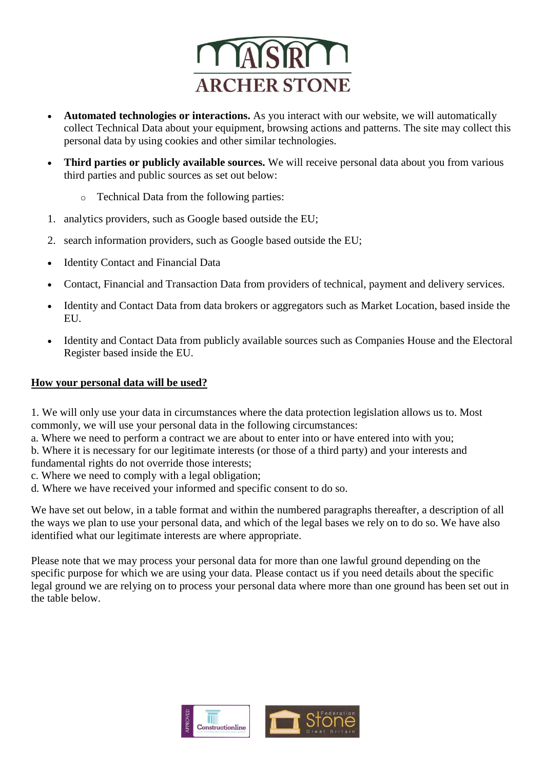

- **Automated technologies or interactions.** As you interact with our website, we will automatically collect Technical Data about your equipment, browsing actions and patterns. The site may collect this personal data by using cookies and other similar technologies.
- **Third parties or publicly available sources.** We will receive personal data about you from various third parties and public sources as set out below:
	- o Technical Data from the following parties:
- 1. analytics providers, such as Google based outside the EU;
- 2. search information providers, such as Google based outside the EU;
- Identity Contact and Financial Data
- Contact, Financial and Transaction Data from providers of technical, payment and delivery services.
- Identity and Contact Data from data brokers or aggregators such as Market Location, based inside the EU.
- Identity and Contact Data from publicly available sources such as Companies House and the Electoral Register based inside the EU.

## **How your personal data will be used?**

1. We will only use your data in circumstances where the data protection legislation allows us to. Most commonly, we will use your personal data in the following circumstances:

a. Where we need to perform a contract we are about to enter into or have entered into with you;

b. Where it is necessary for our legitimate interests (or those of a third party) and your interests and fundamental rights do not override those interests;

- c. Where we need to comply with a legal obligation;
- d. Where we have received your informed and specific consent to do so.

We have set out below, in a table format and within the numbered paragraphs thereafter, a description of all the ways we plan to use your personal data, and which of the legal bases we rely on to do so. We have also identified what our legitimate interests are where appropriate.

Please note that we may process your personal data for more than one lawful ground depending on the specific purpose for which we are using your data. Please contact us if you need details about the specific legal ground we are relying on to process your personal data where more than one ground has been set out in the table below.

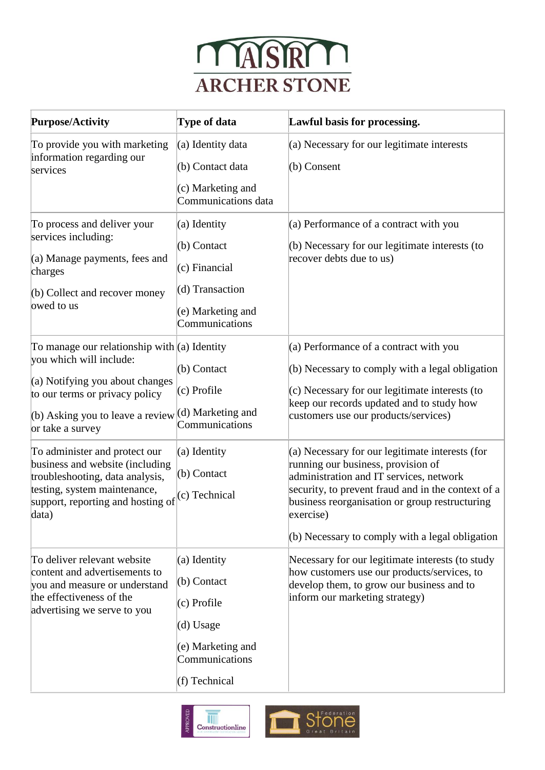

| <b>Purpose/Activity</b>                                                                                                                                                                                | Type of data                                                                                                            | Lawful basis for processing.                                                                                                                                                                                                                                                                               |
|--------------------------------------------------------------------------------------------------------------------------------------------------------------------------------------------------------|-------------------------------------------------------------------------------------------------------------------------|------------------------------------------------------------------------------------------------------------------------------------------------------------------------------------------------------------------------------------------------------------------------------------------------------------|
| To provide you with marketing<br>information regarding our<br>services                                                                                                                                 | (a) Identity data<br>(b) Contact data<br>(c) Marketing and<br>Communications data                                       | (a) Necessary for our legitimate interests<br>$(b)$ Consent                                                                                                                                                                                                                                                |
| To process and deliver your<br>services including:<br>(a) Manage payments, fees and<br>charges<br>(b) Collect and recover money<br>owed to us                                                          | (a) Identity<br>(b) Contact<br>$(c)$ Financial<br>$(d)$ Transaction<br>(e) Marketing and<br>Communications              | (a) Performance of a contract with you<br>(b) Necessary for our legitimate interests (to<br>recover debts due to us)                                                                                                                                                                                       |
| To manage our relationship with $(a)$ Identity<br>you which will include:<br>(a) Notifying you about changes<br>to our terms or privacy policy<br>(b) Asking you to leave a review<br>or take a survey | $(b)$ Contact<br>$(c)$ Profile<br>(d) Marketing and<br>Communications                                                   | (a) Performance of a contract with you<br>$(b)$ Necessary to comply with a legal obligation<br>(c) Necessary for our legitimate interests (to<br>keep our records updated and to study how<br>customers use our products/services)                                                                         |
| To administer and protect our<br>business and website (including<br>troubleshooting, data analysis,<br>testing, system maintenance,<br>support, reporting and hosting of<br>data)                      | $(a)$ Identity<br>$(b)$ Contact<br>(c) Technical                                                                        | (a) Necessary for our legitimate interests (for<br>running our business, provision of<br>administration and IT services, network<br>security, to prevent fraud and in the context of a<br>business reorganisation or group restructuring<br>exercise)<br>$(6)$ Necessary to comply with a legal obligation |
| To deliver relevant website<br>content and advertisements to<br>you and measure or understand<br>the effectiveness of the<br>advertising we serve to you                                               | $(a)$ Identity<br>$(b)$ Contact<br>$(c)$ Profile<br>$(d)$ Usage<br>(e) Marketing and<br>Communications<br>(f) Technical | Necessary for our legitimate interests (to study<br>how customers use our products/services, to<br>develop them, to grow our business and to<br>inform our marketing strategy)                                                                                                                             |

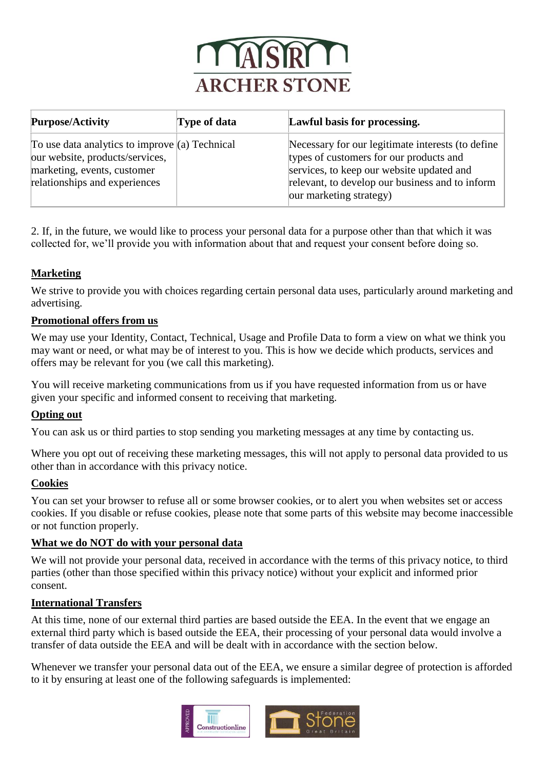

| <b>Purpose/Activity</b>                                                                                                                             | Type of data | Lawful basis for processing.                                                                                                                                                                                             |
|-----------------------------------------------------------------------------------------------------------------------------------------------------|--------------|--------------------------------------------------------------------------------------------------------------------------------------------------------------------------------------------------------------------------|
| To use data analytics to improve $(a)$ Technical<br>our website, products/services,<br>marketing, events, customer<br>relationships and experiences |              | Necessary for our legitimate interests (to define)<br>types of customers for our products and<br>services, to keep our website updated and<br>relevant, to develop our business and to inform<br>our marketing strategy) |

2. If, in the future, we would like to process your personal data for a purpose other than that which it was collected for, we'll provide you with information about that and request your consent before doing so.

### **Marketing**

We strive to provide you with choices regarding certain personal data uses, particularly around marketing and advertising.

### **Promotional offers from us**

We may use your Identity, Contact, Technical, Usage and Profile Data to form a view on what we think you may want or need, or what may be of interest to you. This is how we decide which products, services and offers may be relevant for you (we call this marketing).

You will receive marketing communications from us if you have requested information from us or have given your specific and informed consent to receiving that marketing.

### **Opting out**

You can ask us or third parties to stop sending you marketing messages at any time by contacting us.

Where you opt out of receiving these marketing messages, this will not apply to personal data provided to us other than in accordance with this privacy notice.

#### **Cookies**

You can set your browser to refuse all or some browser cookies, or to alert you when websites set or access cookies. If you disable or refuse cookies, please note that some parts of this website may become inaccessible or not function properly.

#### **What we do NOT do with your personal data**

We will not provide your personal data, received in accordance with the terms of this privacy notice, to third parties (other than those specified within this privacy notice) without your explicit and informed prior consent.

#### **International Transfers**

At this time, none of our external third parties are based outside the EEA. In the event that we engage an external third party which is based outside the EEA, their processing of your personal data would involve a transfer of data outside the EEA and will be dealt with in accordance with the section below.

Whenever we transfer your personal data out of the EEA, we ensure a similar degree of protection is afforded to it by ensuring at least one of the following safeguards is implemented:

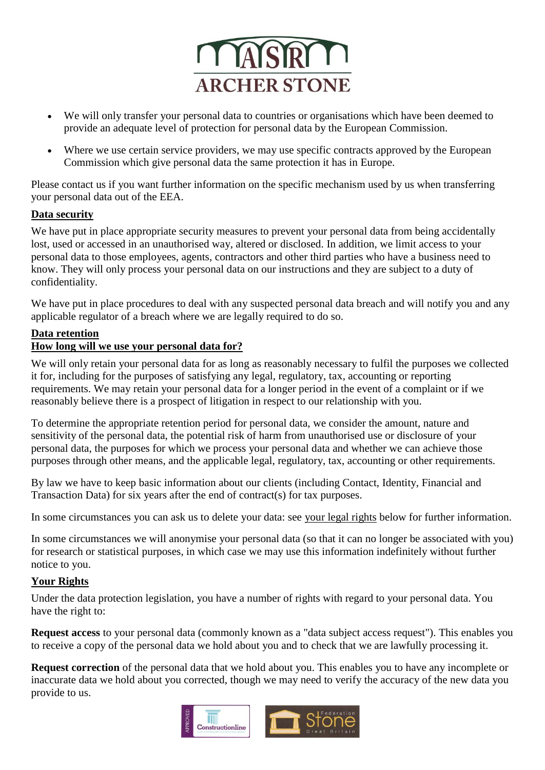

- We will only transfer your personal data to countries or organisations which have been deemed to provide an adequate level of protection for personal data by the European Commission.
- Where we use certain service providers, we may use specific contracts approved by the European Commission which give personal data the same protection it has in Europe.

Please contact us if you want further information on the specific mechanism used by us when transferring your personal data out of the EEA.

### **Data security**

We have put in place appropriate security measures to prevent your personal data from being accidentally lost, used or accessed in an unauthorised way, altered or disclosed. In addition, we limit access to your personal data to those employees, agents, contractors and other third parties who have a business need to know. They will only process your personal data on our instructions and they are subject to a duty of confidentiality.

We have put in place procedures to deal with any suspected personal data breach and will notify you and any applicable regulator of a breach where we are legally required to do so.

# **Data retention**

### **How long will we use your personal data for?**

We will only retain your personal data for as long as reasonably necessary to fulfil the purposes we collected it for, including for the purposes of satisfying any legal, regulatory, tax, accounting or reporting requirements. We may retain your personal data for a longer period in the event of a complaint or if we reasonably believe there is a prospect of litigation in respect to our relationship with you.

To determine the appropriate retention period for personal data, we consider the amount, nature and sensitivity of the personal data, the potential risk of harm from unauthorised use or disclosure of your personal data, the purposes for which we process your personal data and whether we can achieve those purposes through other means, and the applicable legal, regulatory, tax, accounting or other requirements.

By law we have to keep basic information about our clients (including Contact, Identity, Financial and Transaction Data) for six years after the end of contract(s) for tax purposes.

In some circumstances you can ask us to delete your data: see your legal rights below for further information.

In some circumstances we will anonymise your personal data (so that it can no longer be associated with you) for research or statistical purposes, in which case we may use this information indefinitely without further notice to you.

### **Your Rights**

Under the data protection legislation, you have a number of rights with regard to your personal data. You have the right to:

**Request access** to your personal data (commonly known as a "data subject access request"). This enables you to receive a copy of the personal data we hold about you and to check that we are lawfully processing it.

**Request correction** of the personal data that we hold about you. This enables you to have any incomplete or inaccurate data we hold about you corrected, though we may need to verify the accuracy of the new data you provide to us.